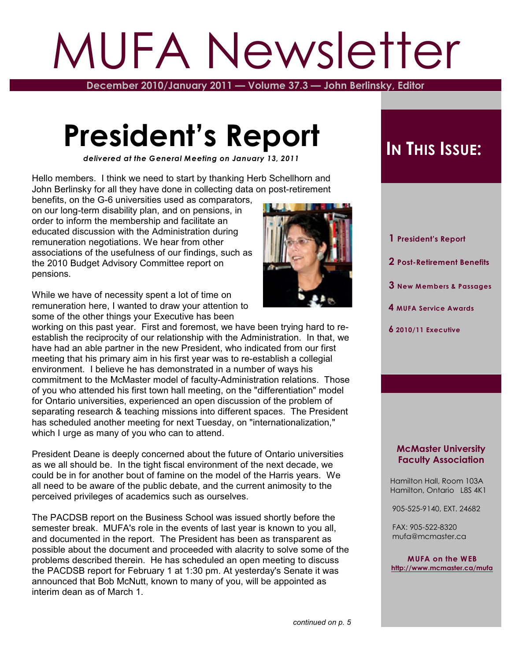# MUFA Newsletter

**December 2010/January 2011 — Volume 37.3 — John Berlinsky, Editor**

# **President's Report**

*delivered at the General Meeting on January 13, 2011*

Hello members. I think we need to start by thanking Herb Schellhorn and John Berlinsky for all they have done in collecting data on post-retirement

benefits, on the G-6 universities used as comparators, on our long-term disability plan, and on pensions, in order to inform the membership and facilitate an educated discussion with the Administration during remuneration negotiations. We hear from other associations of the usefulness of our findings, such as the 2010 Budget Advisory Committee report on pensions.

While we have of necessity spent a lot of time on remuneration here, I wanted to draw your attention to some of the other things your Executive has been

working on this past year. First and foremost, we have been trying hard to reestablish the reciprocity of our relationship with the Administration. In that, we have had an able partner in the new President, who indicated from our first meeting that his primary aim in his first year was to re-establish a collegial environment. I believe he has demonstrated in a number of ways his commitment to the McMaster model of faculty-Administration relations. Those of you who attended his first town hall meeting, on the "differentiation" model for Ontario universities, experienced an open discussion of the problem of separating research & teaching missions into different spaces. The President has scheduled another meeting for next Tuesday, on "internationalization," which I urge as many of you who can to attend.

President Deane is deeply concerned about the future of Ontario universities as we all should be. In the tight fiscal environment of the next decade, we could be in for another bout of famine on the model of the Harris years. We all need to be aware of the public debate, and the current animosity to the perceived privileges of academics such as ourselves.

The PACDSB report on the Business School was issued shortly before the semester break. MUFA's role in the events of last year is known to you all, and documented in the report. The President has been as transparent as possible about the document and proceeded with alacrity to solve some of the problems described therein. He has scheduled an open meeting to discuss the PACDSB report for February 1 at 1:30 pm. At yesterday's Senate it was announced that Bob McNutt, known to many of you, will be appointed as interim dean as of March 1.



# **IN THIS ISSUE:**

 **1 President's Report**

 **2 Post-Retirement Benefits**

 **3 New Members & Passages**

 **4 MUFA Service Awards**

 **6 2010/11 Executive**

### **McMaster University Faculty Association**

 Hamilton Hall, Room 103A Hamilton, Ontario L8S 4K1

905-525-9140, EXT. 24682

 FAX: 905-522-8320 mufa@mcmaster.ca

**MUFA on the WEB <http://www.mcmaster.ca/mufa>**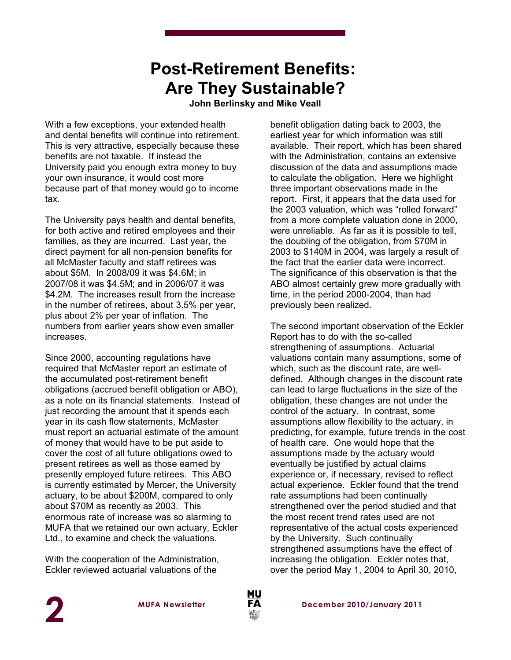# **Post-Retirement Benefits: Are They Sustainable?**

**John Berlinsky and Mike Veall**

With a few exceptions, your extended health and dental benefits will continue into retirement. This is very attractive, especially because these benefits are not taxable. If instead the University paid you enough extra money to buy your own insurance, it would cost more because part of that money would go to income tax.

The University pays health and dental benefits, for both active and retired employees and their families, as they are incurred. Last year, the direct payment for all non-pension benefits for all McMaster faculty and staff retirees was about \$5M. In 2008/09 it was \$4.6M; in 2007/08 it was \$4.5M; and in 2006/07 it was \$4.2M. The increases result from the increase in the number of retirees, about 3.5% per year, plus about 2% per year of inflation. The numbers from earlier years show even smaller increases.

Since 2000, accounting regulations have required that McMaster report an estimate of the accumulated post-retirement benefit obligations (accrued benefit obligation or ABO), as a note on its financial statements. Instead of just recording the amount that it spends each year in its cash flow statements, McMaster must report an actuarial estimate of the amount of money that would have to be put aside to cover the cost of all future obligations owed to present retirees as well as those earned by presently employed future retirees. This ABO is currently estimated by Mercer, the University actuary, to be about \$200M, compared to only about \$70M as recently as 2003. This enormous rate of increase was so alarming to MUFA that we retained our own actuary, Eckler Ltd., to examine and check the valuations.

With the cooperation of the Administration, Eckler reviewed actuarial valuations of the

benefit obligation dating back to 2003, the earliest year for which information was still available. Their report, which has been shared with the Administration, contains an extensive discussion of the data and assumptions made to calculate the obligation. Here we highlight three important observations made in the report. First, it appears that the data used for the 2003 valuation, which was "rolled forward" from a more complete valuation done in 2000, were unreliable. As far as it is possible to tell, the doubling of the obligation, from \$70M in 2003 to \$140M in 2004, was largely a result of the fact that the earlier data were incorrect. The significance of this observation is that the ABO almost certainly grew more gradually with time, in the period 2000-2004, than had previously been realized.

The second important observation of the Eckler Report has to do with the so-called strengthening of assumptions. Actuarial valuations contain many assumptions, some of which, such as the discount rate, are welldefined. Although changes in the discount rate can lead to large fluctuations in the size of the obligation, these changes are not under the control of the actuary. In contrast, some assumptions allow flexibility to the actuary, in predicting, for example, future trends in the cost of health care. One would hope that the assumptions made by the actuary would eventually be justified by actual claims experience or, if necessary, revised to reflect actual experience. Eckler found that the trend rate assumptions had been continually strengthened over the period studied and that the most recent trend rates used are not representative of the actual costs experienced by the University. Such continually strengthened assumptions have the effect of increasing the obligation. Eckler notes that, over the period May 1, 2004 to April 30, 2010,

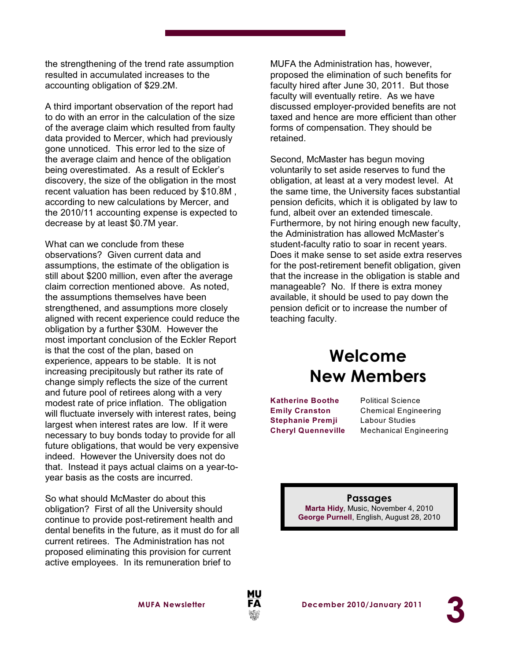the strengthening of the trend rate assumption resulted in accumulated increases to the accounting obligation of \$29.2M.

A third important observation of the report had to do with an error in the calculation of the size of the average claim which resulted from faulty data provided to Mercer, which had previously gone unnoticed. This error led to the size of the average claim and hence of the obligation being overestimated. As a result of Eckler's discovery, the size of the obligation in the most recent valuation has been reduced by \$10.8M , according to new calculations by Mercer, and the 2010/11 accounting expense is expected to decrease by at least \$0.7M year.

What can we conclude from these observations? Given current data and assumptions, the estimate of the obligation is still about \$200 million, even after the average claim correction mentioned above. As noted, the assumptions themselves have been strengthened, and assumptions more closely aligned with recent experience could reduce the obligation by a further \$30M. However the most important conclusion of the Eckler Report is that the cost of the plan, based on experience, appears to be stable. It is not increasing precipitously but rather its rate of change simply reflects the size of the current and future pool of retirees along with a very modest rate of price inflation. The obligation will fluctuate inversely with interest rates, being largest when interest rates are low. If it were necessary to buy bonds today to provide for all future obligations, that would be very expensive indeed. However the University does not do that. Instead it pays actual claims on a year-toyear basis as the costs are incurred.

So what should McMaster do about this obligation? First of all the University should continue to provide post-retirement health and dental benefits in the future, as it must do for all current retirees. The Administration has not proposed eliminating this provision for current active employees. In its remuneration brief to

MUFA the Administration has, however, proposed the elimination of such benefits for faculty hired after June 30, 2011. But those faculty will eventually retire. As we have discussed employer-provided benefits are not taxed and hence are more efficient than other forms of compensation. They should be retained.

Second, McMaster has begun moving voluntarily to set aside reserves to fund the obligation, at least at a very modest level. At the same time, the University faces substantial pension deficits, which it is obligated by law to fund, albeit over an extended timescale. Furthermore, by not hiring enough new faculty, the Administration has allowed McMaster's student-faculty ratio to soar in recent years. Does it make sense to set aside extra reserves for the post-retirement benefit obligation, given that the increase in the obligation is stable and manageable? No. If there is extra money available, it should be used to pay down the pension deficit or to increase the number of teaching faculty.

# **Welcome New Members**

**Katherine Boothe** Political Science **Stephanie Premji** Labour Studies

**Emily Cranston** Chemical Engineering **Cheryl Quenneville** Mechanical Engineering

#### **Passages**

**Marta Hidy**, Music, November 4, 2010 **George Purnell**, English, August 28, 2010

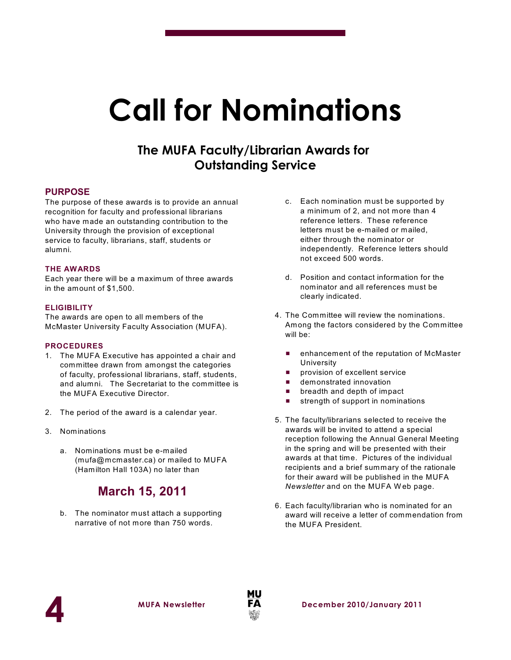# **Call for Nominations**

## **The MUFA Faculty/Librarian Awards for Outstanding Service**

### **PURPOSE**

The purpose of these awards is to provide an annual recognition for faculty and professional librarians who have made an outstanding contribution to the University through the provision of exceptional service to faculty, librarians, staff, students or alumni.

#### **THE AWARDS**

Each year there will be a maximum of three awards in the amount of \$1,500.

#### **ELIGIBILITY**

The awards are open to all members of the McMaster University Faculty Association (MUFA).

#### **PROCEDURES**

- 1. The MUFA Executive has appointed a chair and committee drawn from amongst the categories of faculty, professional librarians, staff, students, and alumni. The Secretariat to the committee is the MUFA Executive Director.
- 2. The period of the award is a calendar year.
- 3. Nominations
	- a. Nominations must be e-mailed (mufa@mcmaster.ca) or mailed to MUFA (Hamilton Hall 103A) no later than

# **March 15, 2011**

b. The nominator must attach a supporting narrative of not more than 750 words.

- c. Each nomination must be supported by a minimum of 2, and not more than 4 reference letters. These reference letters must be e-mailed or mailed, either through the nominator or independently. Reference letters should not exceed 500 words.
- d. Position and contact information for the nominator and all references must be clearly indicated.
- 4. The Committee will review the nominations. Among the factors considered by the Committee will be:
	- **E** enhancement of the reputation of McMaster University
	- provision of excellent service
	- $\blacksquare$  demonstrated innovation
	- breadth and depth of impact
	- $\blacksquare$  strength of support in nominations
- 5. The faculty/librarians selected to receive the awards will be invited to attend a special reception following the Annual General Meeting in the spring and will be presented with their awards at that time. Pictures of the individual recipients and a brief summary of the rationale for their award will be published in the MUFA *Newsletter* and on the MUFA W eb page.
- 6. Each faculty/librarian who is nominated for an award will receive a letter of commendation from the MUFA President.



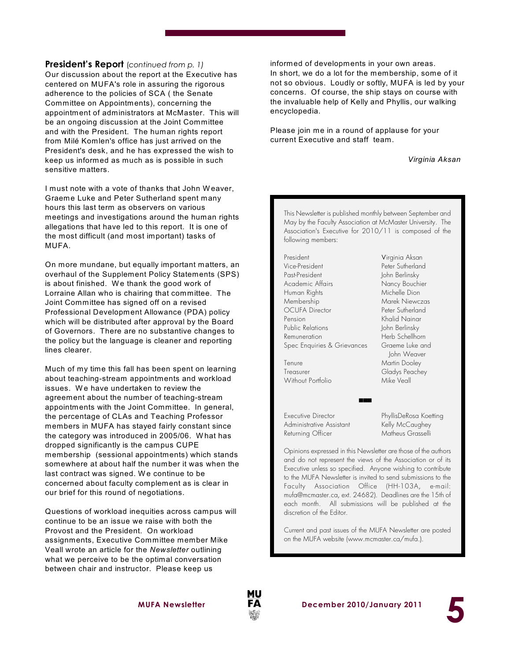#### **President's Report** (*continued from p. 1)*

Our discussion about the report at the Executive has centered on MUFA's role in assuring the rigorous adherence to the policies of SCA ( the Senate Committee on Appointments), concerning the appointment of administrators at McMaster. This will be an ongoing discussion at the Joint Committee and with the President. The human rights report from Milé Komlen's office has just arrived on the President's desk, and he has expressed the wish to keep us informed as much as is possible in such sensitive matters.

I must note with a vote of thanks that John Weaver, Graeme Luke and Peter Sutherland spent many hours this last term as observers on various meetings and investigations around the human rights allegations that have led to this report. It is one of the most difficult (and most important) tasks of MUFA.

On more mundane, but equally important matters, an overhaul of the Supplement Policy Statements (SPS) is about finished. We thank the good work of Lorraine Allan who is chairing that committee. The Joint Committee has signed off on a revised Professional Development Allowance (PDA) policy which will be distributed after approval by the Board of Governors. There are no substantive changes to the policy but the language is cleaner and reporting lines clearer.

Much of my time this fall has been spent on learning about teaching-stream appointments and workload issues. W e have undertaken to review the agreement about the number of teaching-stream appointments with the Joint Committee. In general, the percentage of CLAs and Teaching Professor members in MUFA has stayed fairly constant since the category was introduced in 2005/06. W hat has dropped significantly is the campus CUPE membership (sessional appointments) which stands somewhere at about half the number it was when the last contract was signed. We continue to be concerned about faculty complement as is clear in our brief for this round of negotiations.

Questions of workload inequities across campus will continue to be an issue we raise with both the Provost and the President. On workload assignments, Executive Committee member Mike Veall wrote an article for the *Newsletter* outlining what we perceive to be the optimal conversation between chair and instructor. Please keep us

informed of developments in your own areas. In short, we do a lot for the membership, some of it not so obvious. Loudly or softly, MUFA is led by your concerns. Of course, the ship stays on course with the invaluable help of Kelly and Phyllis, our walking encyclopedia.

Please join me in a round of applause for your current Executive and staff team.

*Virginia Aksan*

This Newsletter is published monthly between September and May by the Faculty Association at McMaster University. The Association's Executive for 2010/11 is composed of the following members:

President Virginia Aksan Vice-President Peter Sutherland Past-President John Berlinsky Academic Affairs Nancy Bouchier Human Rights Michelle Dion Membership Marek Niewczas OCUFA Director Peter Sutherland Pension Khalid Nainar Public Relations John Berlinsky Remuneration Herb Schellhorn Spec Enquiries & Grievances Graeme Luke and

Without Portfolio Mike Veall

John Weaver Tenure Martin Dooley Treasurer Gladys Peachey

Administrative Assistant Kelly McCaughey Returning Officer Matheus Grasselli

Executive Director PhyllisDeRosa Koetting

**5**

Opinions expressed in this Newsletter are those of the authors and do not represent the views of the Association or of its Executive unless so specified. Anyone wishing to contribute to the MUFA *Newsletter* is invited to send submissions to the Faculty Association Office (HH-103A, e-mail: mufa@mcmaster.ca, ext. 24682). Deadlines are the 15th of each month. All submissions will be published at the discretion of the Editor.

(((

Current and past issues of the MUFA *Newsletter* are posted on the MUFA website (www.mcmaster.ca/mufa.).